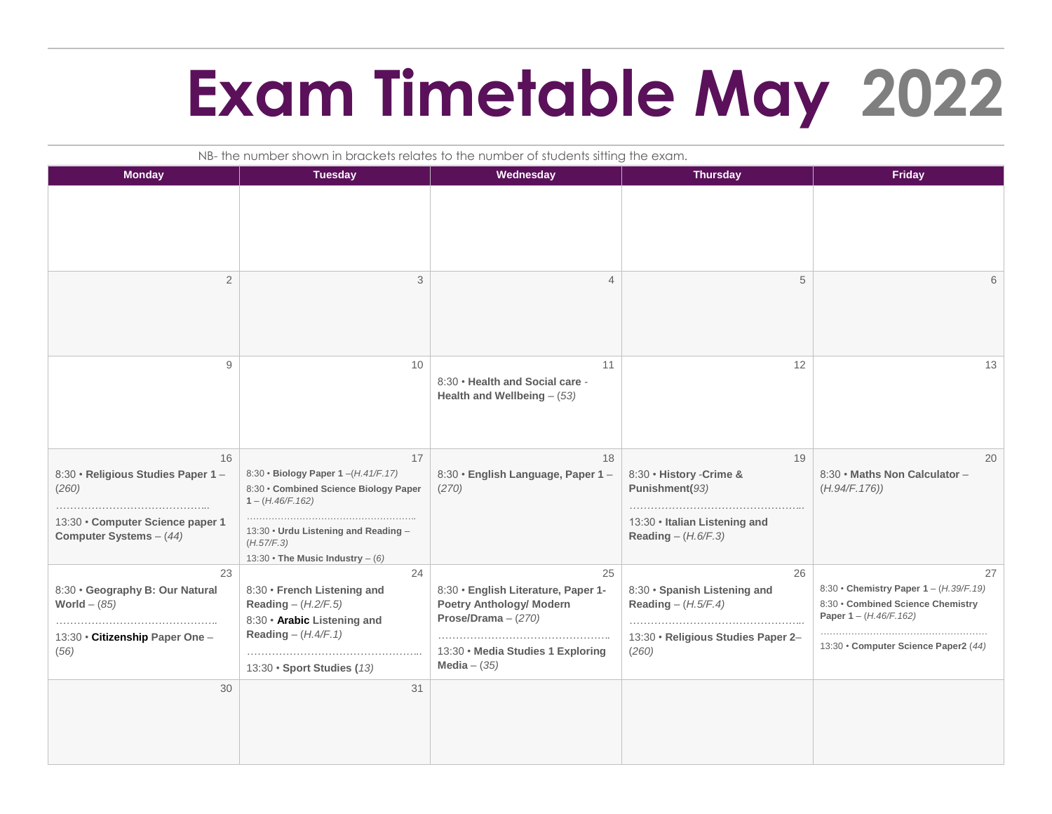## **Exam Timetable May 2022**

| NB-the number shown in brackets relates to the number of students sitting the exam.                              |                                                                                                                                                                                                         |                                                                                                                                                              |                                                                                                            |                                                                                                                                                       |  |  |  |
|------------------------------------------------------------------------------------------------------------------|---------------------------------------------------------------------------------------------------------------------------------------------------------------------------------------------------------|--------------------------------------------------------------------------------------------------------------------------------------------------------------|------------------------------------------------------------------------------------------------------------|-------------------------------------------------------------------------------------------------------------------------------------------------------|--|--|--|
| <b>Monday</b>                                                                                                    | <b>Tuesday</b>                                                                                                                                                                                          | Wednesday                                                                                                                                                    | <b>Thursday</b>                                                                                            | <b>Friday</b>                                                                                                                                         |  |  |  |
|                                                                                                                  |                                                                                                                                                                                                         |                                                                                                                                                              |                                                                                                            |                                                                                                                                                       |  |  |  |
| $\mathbf{2}$                                                                                                     | 3                                                                                                                                                                                                       | $\overline{4}$                                                                                                                                               | 5                                                                                                          | 6                                                                                                                                                     |  |  |  |
| 9                                                                                                                | 10                                                                                                                                                                                                      | 11<br>8:30 • Health and Social care -<br>Health and Wellbeing $-$ (53)                                                                                       | 12                                                                                                         | 13                                                                                                                                                    |  |  |  |
| 16<br>8:30 · Religious Studies Paper 1 -<br>(260)<br>13:30 · Computer Science paper 1<br>Computer Systems - (44) | 17<br>8:30 • Biology Paper 1-(H.41/F.17)<br>8:30 • Combined Science Biology Paper<br>$1 - (H.46/F.162)$<br>13:30 • Urdu Listening and Reading -<br>(H.57/F.3)<br>13:30 $\cdot$ The Music Industry - (6) | 18<br>8:30 · English Language, Paper 1 -<br>(270)                                                                                                            | 19<br>8:30 · History - Crime &<br>Punishment(93)<br>13:30 · Italian Listening and<br>Reading $-$ (H.6/F.3) | 20<br>8:30 · Maths Non Calculator -<br>(H.94/F.176))                                                                                                  |  |  |  |
| 23<br>8:30 · Geography B: Our Natural<br>World $-$ (85)<br>13:30 • Citizenship Paper One -<br>(56)               | 24<br>8:30 • French Listening and<br>Reading $-(H.2/F.5)$<br>8:30 • Arabic Listening and<br>Reading $-(H.4/F.1)$<br>13:30 · Sport Studies (13)                                                          | 25<br>8:30 · English Literature, Paper 1-<br><b>Poetry Anthology/ Modern</b><br>Prose/Drama $- (270)$<br>13:30 · Media Studies 1 Exploring<br>Media $-$ (35) | 26<br>8:30 · Spanish Listening and<br>Reading $-(H.5/F.4)$<br>13:30 · Religious Studies Paper 2-<br>(260)  | 27<br>8:30 • Chemistry Paper 1 - (H.39/F.19)<br>8:30 • Combined Science Chemistry<br>Paper $1 - (H.46/F.162)$<br>13:30 • Computer Science Paper2 (44) |  |  |  |
| 30                                                                                                               | 31                                                                                                                                                                                                      |                                                                                                                                                              |                                                                                                            |                                                                                                                                                       |  |  |  |